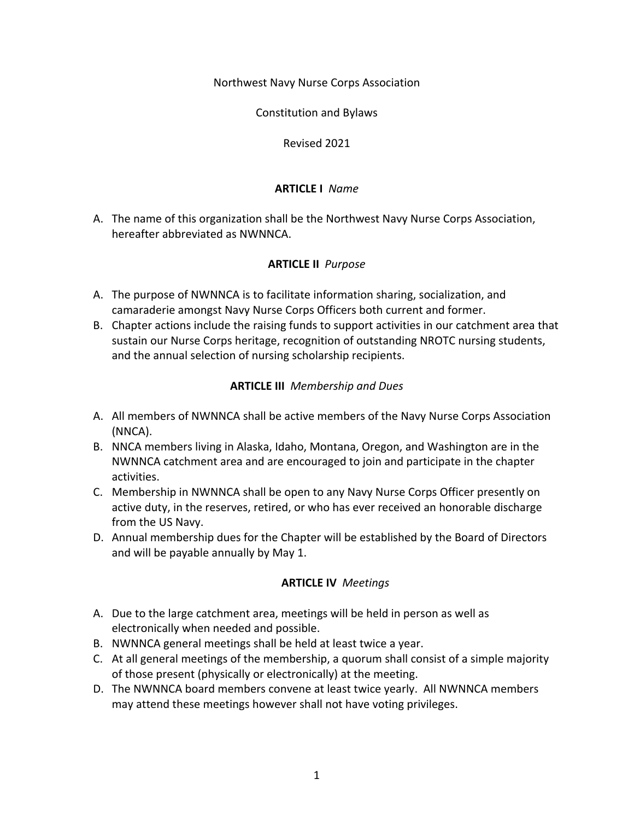Northwest Navy Nurse Corps Association

Constitution and Bylaws

Revised 2021

#### **ARTICLE I** *Name*

A. The name of this organization shall be the Northwest Navy Nurse Corps Association, hereafter abbreviated as NWNNCA.

#### **ARTICLE II** *Purpose*

- A. The purpose of NWNNCA is to facilitate information sharing, socialization, and camaraderie amongst Navy Nurse Corps Officers both current and former.
- B. Chapter actions include the raising funds to support activities in our catchment area that sustain our Nurse Corps heritage, recognition of outstanding NROTC nursing students, and the annual selection of nursing scholarship recipients.

#### **ARTICLE III** *Membership and Dues*

- A. All members of NWNNCA shall be active members of the Navy Nurse Corps Association (NNCA).
- B. NNCA members living in Alaska, Idaho, Montana, Oregon, and Washington are in the NWNNCA catchment area and are encouraged to join and participate in the chapter activities.
- C. Membership in NWNNCA shall be open to any Navy Nurse Corps Officer presently on active duty, in the reserves, retired, or who has ever received an honorable discharge from the US Navy.
- D. Annual membership dues for the Chapter will be established by the Board of Directors and will be payable annually by May 1.

#### **ARTICLE IV** *Meetings*

- A. Due to the large catchment area, meetings will be held in person as well as electronically when needed and possible.
- B. NWNNCA general meetings shall be held at least twice a year.
- C. At all general meetings of the membership, a quorum shall consist of a simple majority of those present (physically or electronically) at the meeting.
- D. The NWNNCA board members convene at least twice yearly. All NWNNCA members may attend these meetings however shall not have voting privileges.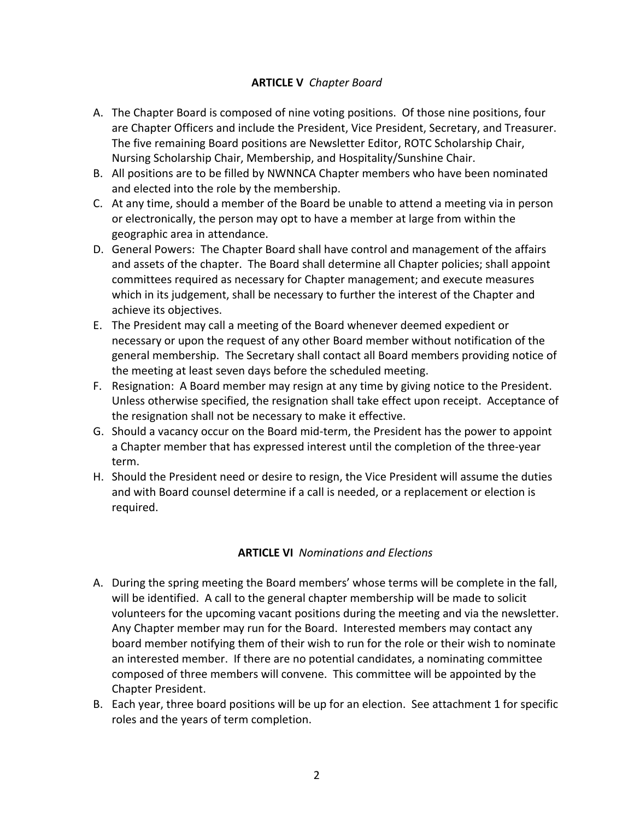## **ARTICLE V** *Chapter Board*

- A. The Chapter Board is composed of nine voting positions. Of those nine positions, four are Chapter Officers and include the President, Vice President, Secretary, and Treasurer. The five remaining Board positions are Newsletter Editor, ROTC Scholarship Chair, Nursing Scholarship Chair, Membership, and Hospitality/Sunshine Chair.
- B. All positions are to be filled by NWNNCA Chapter members who have been nominated and elected into the role by the membership.
- C. At any time, should a member of the Board be unable to attend a meeting via in person or electronically, the person may opt to have a member at large from within the geographic area in attendance.
- D. General Powers: The Chapter Board shall have control and management of the affairs and assets of the chapter. The Board shall determine all Chapter policies; shall appoint committees required as necessary for Chapter management; and execute measures which in its judgement, shall be necessary to further the interest of the Chapter and achieve its objectives.
- E. The President may call a meeting of the Board whenever deemed expedient or necessary or upon the request of any other Board member without notification of the general membership. The Secretary shall contact all Board members providing notice of the meeting at least seven days before the scheduled meeting.
- F. Resignation: A Board member may resign at any time by giving notice to the President. Unless otherwise specified, the resignation shall take effect upon receipt. Acceptance of the resignation shall not be necessary to make it effective.
- G. Should a vacancy occur on the Board mid-term, the President has the power to appoint a Chapter member that has expressed interest until the completion of the three-year term.
- H. Should the President need or desire to resign, the Vice President will assume the duties and with Board counsel determine if a call is needed, or a replacement or election is required.

#### **ARTICLE VI** *Nominations and Elections*

- A. During the spring meeting the Board members' whose terms will be complete in the fall, will be identified. A call to the general chapter membership will be made to solicit volunteers for the upcoming vacant positions during the meeting and via the newsletter. Any Chapter member may run for the Board. Interested members may contact any board member notifying them of their wish to run for the role or their wish to nominate an interested member. If there are no potential candidates, a nominating committee composed of three members will convene. This committee will be appointed by the Chapter President.
- B. Each year, three board positions will be up for an election. See attachment 1 for specific roles and the years of term completion.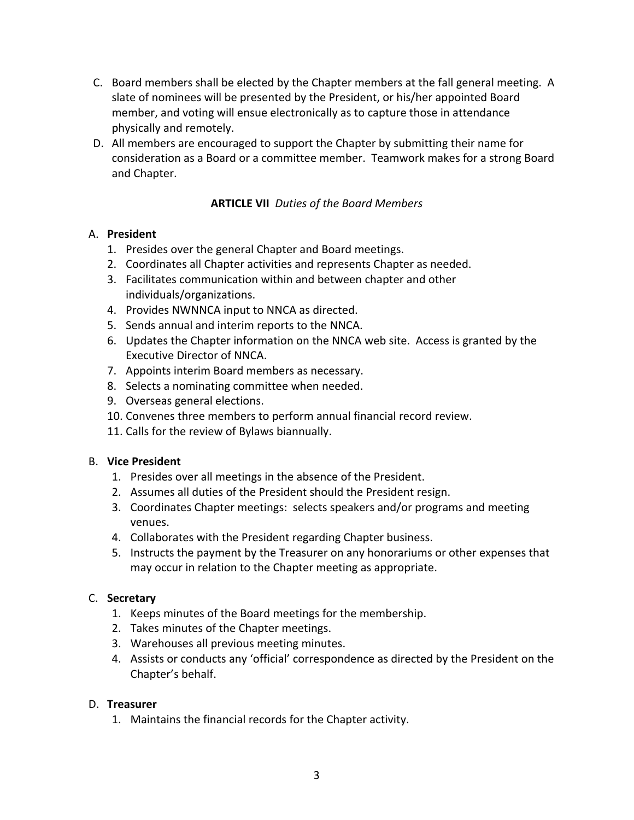- C. Board members shall be elected by the Chapter members at the fall general meeting. A slate of nominees will be presented by the President, or his/her appointed Board member, and voting will ensue electronically as to capture those in attendance physically and remotely.
- D. All members are encouraged to support the Chapter by submitting their name for consideration as a Board or a committee member. Teamwork makes for a strong Board and Chapter.

## **ARTICLE VII** *Duties of the Board Members*

#### A. **President**

- 1. Presides over the general Chapter and Board meetings.
- 2. Coordinates all Chapter activities and represents Chapter as needed.
- 3. Facilitates communication within and between chapter and other individuals/organizations.
- 4. Provides NWNNCA input to NNCA as directed.
- 5. Sends annual and interim reports to the NNCA.
- 6. Updates the Chapter information on the NNCA web site. Access is granted by the Executive Director of NNCA.
- 7. Appoints interim Board members as necessary.
- 8. Selects a nominating committee when needed.
- 9. Overseas general elections.
- 10. Convenes three members to perform annual financial record review.
- 11. Calls for the review of Bylaws biannually.

#### B. **Vice President**

- 1. Presides over all meetings in the absence of the President.
- 2. Assumes all duties of the President should the President resign.
- 3. Coordinates Chapter meetings: selects speakers and/or programs and meeting venues.
- 4. Collaborates with the President regarding Chapter business.
- 5. Instructs the payment by the Treasurer on any honorariums or other expenses that may occur in relation to the Chapter meeting as appropriate.

#### C. **Secretary**

- 1. Keeps minutes of the Board meetings for the membership.
- 2. Takes minutes of the Chapter meetings.
- 3. Warehouses all previous meeting minutes.
- 4. Assists or conducts any 'official' correspondence as directed by the President on the Chapter's behalf.

#### D. **Treasurer**

1. Maintains the financial records for the Chapter activity.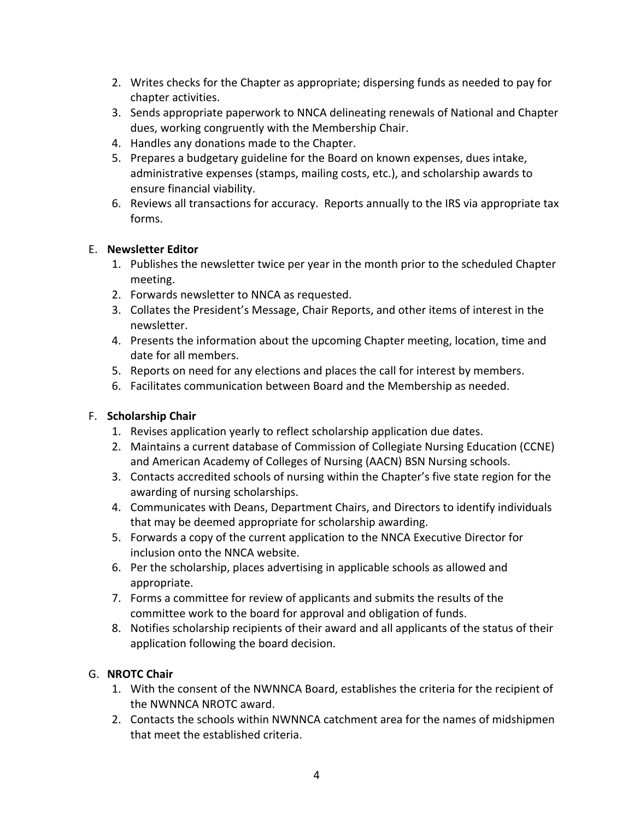- 2. Writes checks for the Chapter as appropriate; dispersing funds as needed to pay for chapter activities.
- 3. Sends appropriate paperwork to NNCA delineating renewals of National and Chapter dues, working congruently with the Membership Chair.
- 4. Handles any donations made to the Chapter.
- 5. Prepares a budgetary guideline for the Board on known expenses, dues intake, administrative expenses (stamps, mailing costs, etc.), and scholarship awards to ensure financial viability.
- 6. Reviews all transactions for accuracy. Reports annually to the IRS via appropriate tax forms.

#### E. **Newsletter Editor**

- 1. Publishes the newsletter twice per year in the month prior to the scheduled Chapter meeting.
- 2. Forwards newsletter to NNCA as requested.
- 3. Collates the President's Message, Chair Reports, and other items of interest in the newsletter.
- 4. Presents the information about the upcoming Chapter meeting, location, time and date for all members.
- 5. Reports on need for any elections and places the call for interest by members.
- 6. Facilitates communication between Board and the Membership as needed.

# F. **Scholarship Chair**

- 1. Revises application yearly to reflect scholarship application due dates.
- 2. Maintains a current database of Commission of Collegiate Nursing Education (CCNE) and American Academy of Colleges of Nursing (AACN) BSN Nursing schools.
- 3. Contacts accredited schools of nursing within the Chapter's five state region for the awarding of nursing scholarships.
- 4. Communicates with Deans, Department Chairs, and Directors to identify individuals that may be deemed appropriate for scholarship awarding.
- 5. Forwards a copy of the current application to the NNCA Executive Director for inclusion onto the NNCA website.
- 6. Per the scholarship, places advertising in applicable schools as allowed and appropriate.
- 7. Forms a committee for review of applicants and submits the results of the committee work to the board for approval and obligation of funds.
- 8. Notifies scholarship recipients of their award and all applicants of the status of their application following the board decision.

# G. **NROTC Chair**

- 1. With the consent of the NWNNCA Board, establishes the criteria for the recipient of the NWNNCA NROTC award.
- 2. Contacts the schools within NWNNCA catchment area for the names of midshipmen that meet the established criteria.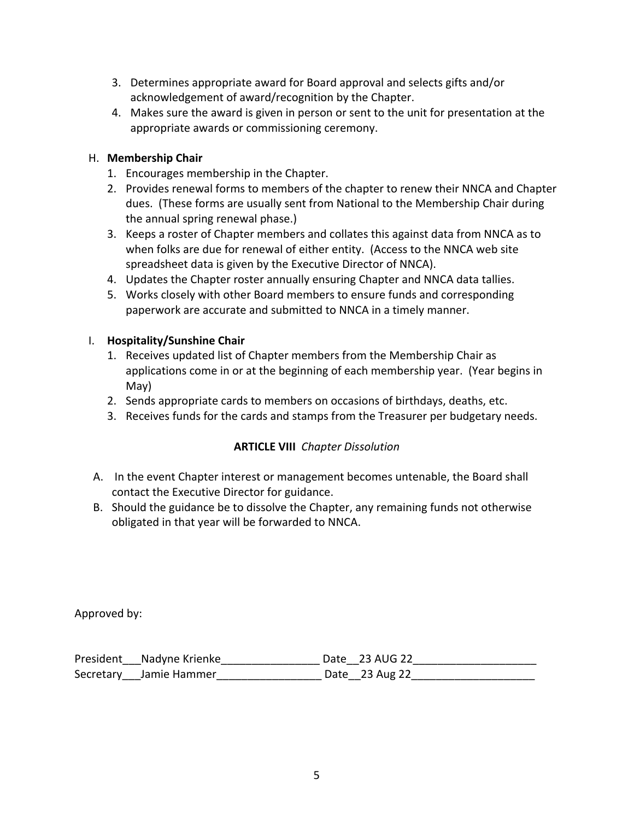- 3. Determines appropriate award for Board approval and selects gifts and/or acknowledgement of award/recognition by the Chapter.
- 4. Makes sure the award is given in person or sent to the unit for presentation at the appropriate awards or commissioning ceremony.

## H. **Membership Chair**

- 1. Encourages membership in the Chapter.
- 2. Provides renewal forms to members of the chapter to renew their NNCA and Chapter dues. (These forms are usually sent from National to the Membership Chair during the annual spring renewal phase.)
- 3. Keeps a roster of Chapter members and collates this against data from NNCA as to when folks are due for renewal of either entity. (Access to the NNCA web site spreadsheet data is given by the Executive Director of NNCA).
- 4. Updates the Chapter roster annually ensuring Chapter and NNCA data tallies.
- 5. Works closely with other Board members to ensure funds and corresponding paperwork are accurate and submitted to NNCA in a timely manner.

## I. **Hospitality/Sunshine Chair**

- 1. Receives updated list of Chapter members from the Membership Chair as applications come in or at the beginning of each membership year. (Year begins in May)
- 2. Sends appropriate cards to members on occasions of birthdays, deaths, etc.
- 3. Receives funds for the cards and stamps from the Treasurer per budgetary needs.

# **ARTICLE VIII** *Chapter Dissolution*

- A. In the event Chapter interest or management becomes untenable, the Board shall contact the Executive Director for guidance.
- B. Should the guidance be to dissolve the Chapter, any remaining funds not otherwise obligated in that year will be forwarded to NNCA.

Approved by:

| President Nadyne Krienke | Date 23 AUG 22 |
|--------------------------|----------------|
| Secretary Jamie Hammer   | Date 23 Aug 22 |